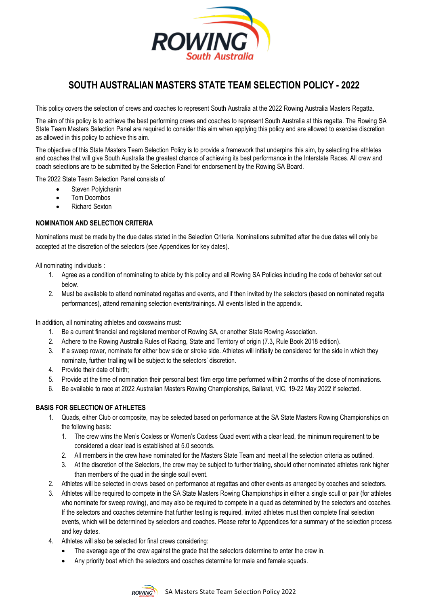

# **SOUTH AUSTRALIAN MASTERS STATE TEAM SELECTION POLICY - 2022**

This policy covers the selection of crews and coaches to represent South Australia at the 2022 Rowing Australia Masters Regatta.

The aim of this policy is to achieve the best performing crews and coaches to represent South Australia at this regatta. The Rowing SA State Team Masters Selection Panel are required to consider this aim when applying this policy and are allowed to exercise discretion as allowed in this policy to achieve this aim.

The objective of this State Masters Team Selection Policy is to provide a framework that underpins this aim, by selecting the athletes and coaches that will give South Australia the greatest chance of achieving its best performance in the Interstate Races. All crew and coach selections are to be submitted by the Selection Panel for endorsement by the Rowing SA Board.

The 2022 State Team Selection Panel consists of

- Steven Polyichanin
- Tom Doornbos
- Richard Sexton

# **NOMINATION AND SELECTION CRITERIA**

Nominations must be made by the due dates stated in the Selection Criteria. Nominations submitted after the due dates will only be accepted at the discretion of the selectors (see Appendices for key dates).

All nominating individuals :

- 1. Agree as a condition of nominating to abide by this policy and all Rowing SA Policies including the code of behavior set out below.
- 2. Must be available to attend nominated regattas and events, and if then invited by the selectors (based on nominated regatta performances), attend remaining selection events/trainings. All events listed in the appendix.

In addition, all nominating athletes and coxswains must:

- 1. Be a current financial and registered member of Rowing SA, or another State Rowing Association.
- 2. Adhere to the Rowing Australia Rules of Racing, State and Territory of origin (7.3, Rule Book 2018 edition).
- 3. If a sweep rower, nominate for either bow side or stroke side. Athletes will initially be considered for the side in which they nominate, further trialling will be subject to the selectors' discretion.
- 4. Provide their date of birth;
- 5. Provide at the time of nomination their personal best 1km ergo time performed within 2 months of the close of nominations.
- 6. Be available to race at 2022 Australian Masters Rowing Championships, Ballarat, VIC, 19-22 May 2022 if selected.

# **BASIS FOR SELECTION OF ATHLETES**

- 1. Quads, either Club or composite, may be selected based on performance at the SA State Masters Rowing Championships on the following basis:
	- 1. The crew wins the Men's Coxless or Women's Coxless Quad event with a clear lead, the minimum requirement to be considered a clear lead is established at 5.0 seconds.
	- 2. All members in the crew have nominated for the Masters State Team and meet all the selection criteria as outlined.
	- 3. At the discretion of the Selectors, the crew may be subject to further trialing, should other nominated athletes rank higher than members of the quad in the single scull event.
- 2. Athletes will be selected in crews based on performance at regattas and other events as arranged by coaches and selectors.
- 3. Athletes will be required to compete in the SA State Masters Rowing Championships in either a single scull or pair (for athletes who nominate for sweep rowing), and may also be required to compete in a quad as determined by the selectors and coaches. If the selectors and coaches determine that further testing is required, invited athletes must then complete final selection events, which will be determined by selectors and coaches. Please refer to Appendices for a summary of the selection process and key dates.
- 4. Athletes will also be selected for final crews considering:
	- The average age of the crew against the grade that the selectors determine to enter the crew in.
	- Any priority boat which the selectors and coaches determine for male and female squads.

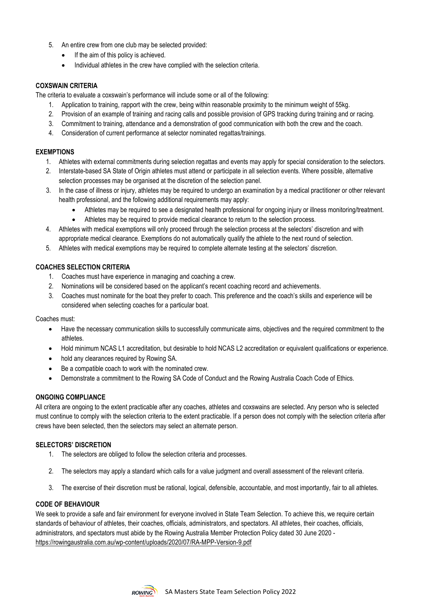- 5. An entire crew from one club may be selected provided:
	- If the aim of this policy is achieved.
	- Individual athletes in the crew have complied with the selection criteria.

#### **COXSWAIN CRITERIA**

The criteria to evaluate a coxswain's performance will include some or all of the following:

- 1. Application to training, rapport with the crew, being within reasonable proximity to the minimum weight of 55kg.
- 2. Provision of an example of training and racing calls and possible provision of GPS tracking during training and or racing.
- 3. Commitment to training, attendance and a demonstration of good communication with both the crew and the coach.
- 4. Consideration of current performance at selector nominated regattas/trainings.

#### **EXEMPTIONS**

- 1. Athletes with external commitments during selection regattas and events may apply for special consideration to the selectors.
- 2. Interstate-based SA State of Origin athletes must attend or participate in all selection events. Where possible, alternative selection processes may be organised at the discretion of the selection panel.
- 3. In the case of illness or injury, athletes may be required to undergo an examination by a medical practitioner or other relevant health professional, and the following additional requirements may apply:
	- Athletes may be required to see a designated health professional for ongoing injury or illness monitoring/treatment.
	- Athletes may be required to provide medical clearance to return to the selection process.
- 4. Athletes with medical exemptions will only proceed through the selection process at the selectors' discretion and with appropriate medical clearance. Exemptions do not automatically qualify the athlete to the next round of selection.
- 5. Athletes with medical exemptions may be required to complete alternate testing at the selectors' discretion.

# **COACHES SELECTION CRITERIA**

- 1. Coaches must have experience in managing and coaching a crew.
- 2. Nominations will be considered based on the applicant's recent coaching record and achievements.
- 3. Coaches must nominate for the boat they prefer to coach. This preference and the coach's skills and experience will be considered when selecting coaches for a particular boat.

Coaches must:

- Have the necessary communication skills to successfully communicate aims, objectives and the required commitment to the athletes.
- Hold minimum NCAS L1 accreditation, but desirable to hold NCAS L2 accreditation or equivalent qualifications or experience.
- hold any clearances required by Rowing SA.
- Be a compatible coach to work with the nominated crew.
- Demonstrate a commitment to the Rowing SA Code of Conduct and the Rowing Australia Coach Code of Ethics.

# **ONGOING COMPLIANCE**

All critera are ongoing to the extent practicable after any coaches, athletes and coxswains are selected. Any person who is selected must continue to comply with the selection criteria to the extent practicable. If a person does not comply with the selection criteria after crews have been selected, then the selectors may select an alternate person.

# **SELECTORS' DISCRETION**

- 1. The selectors are obliged to follow the selection criteria and processes.
- 2. The selectors may apply a standard which calls for a value judgment and overall assessment of the relevant criteria.
- 3. The exercise of their discretion must be rational, logical, defensible, accountable, and most importantly, fair to all athletes.

#### **CODE OF BEHAVIOUR**

We seek to provide a safe and fair environment for everyone involved in State Team Selection. To achieve this, we require certain standards of behaviour of athletes, their coaches, officials, administrators, and spectators. All athletes, their coaches, officials, administrators, and spectators must abide by the Rowing Australia Member Protection Policy dated 30 June 2020 <https://rowingaustralia.com.au/wp-content/uploads/2020/07/RA-MPP-Version-9.pdf>

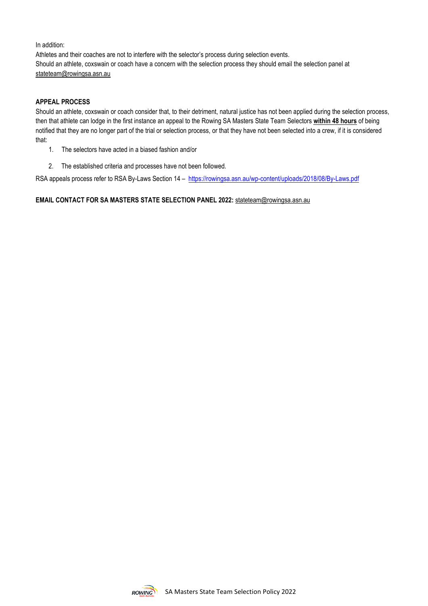In addition:

Athletes and their coaches are not to interfere with the selector's process during selection events. Should an athlete, coxswain or coach have a concern with the selection process they should email the selection panel at [stateteam@rowingsa.asn.au](mailto:stateteam@rowingsa.asn.au)

#### **APPEAL PROCESS**

Should an athlete, coxswain or coach consider that, to their detriment, natural justice has not been applied during the selection process, then that athlete can lodge in the first instance an appeal to the Rowing SA Masters State Team Selectors **within 48 hours** of being notified that they are no longer part of the trial or selection process, or that they have not been selected into a crew, if it is considered that:

- 1. The selectors have acted in a biased fashion and/or
- 2. The established criteria and processes have not been followed.

RSA appeals process refer to RSA By-Laws Section 14 - https://rowingsa.asn.au/wp-content/uploads/2018/08/By-Laws.pdf

# **EMAIL CONTACT FOR SA MASTERS STATE SELECTION PANEL 2022:** [stateteam@rowingsa.asn.au](mailto:stateteam@rowingsa.asn.au)